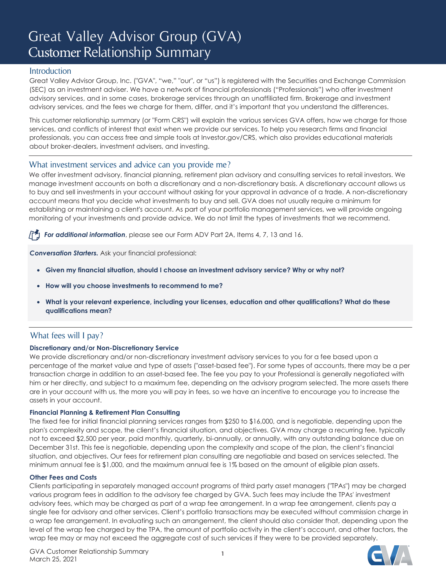# Great Valley Advisor Group (GVA) Customer Relationship Summary

# **Introduction**

Great Valley Advisor Group, Inc. ("GVA", "we," "our", or "us") is registered with the Securities and Exchange Commission (SEC) as an investment adviser. We have a network of financial professionals ("Professionals") who offer investment advisory services, and in some cases, brokerage services through an unaffiliated firm. Brokerage and investment advisory services, and the fees we charge for them, differ, and it's important that you understand the differences.

This customer relationship summary (or "Form CRS") will explain the various services GVA offers, how we charge for those services, and conflicts of interest that exist when we provide our services. To help you research firms and financial professionals, you can access free and simple tools at Investor.gov/CRS, which also provides educational materials about broker-dealers, investment advisers, and investing.

# What investment services and advice can you provide me?

We offer investment advisory, financial planning, retirement plan advisory and consulting services to retail investors. We manage investment accounts on both a discretionary and a non-discretionary basis. A discretionary account allows us to buy and sell investments in your account without asking for your approval in advance of a trade. A non-discretionary account means that you decide what investments to buy and sell. GVA does not usually require a minimum for establishing or maintaining a client's account. As part of your portfolio management services, we will provide ongoing monitoring of your investments and provide advice. We do not limit the types of investments that we recommend.

*For additional information*, please see our Form ADV Part 2A, Items 4, 7, 13 and 16.

*Conversation Starters.* Ask your financial professional:

- **Given my financial situation, should I choose an investment advisory service? Why or why not?**
- **How will you choose investments to recommend to me?**
- **What is your relevant experience, including your licenses, education and other qualifications? What do these qualifications mean?**

# What fees will I pay?

# **Discretionary and/or Non-Discretionary Service**

We provide discretionary and/or non-discretionary investment advisory services to you for a fee based upon a percentage of the market value and type of assets ("asset-based fee"). For some types of accounts, there may be a per transaction charge in addition to an asset-based fee. The fee you pay to your Professional is generally negotiated with him or her directly, and subject to a maximum fee, depending on the advisory program selected. The more assets there are in your account with us, the more you will pay in fees, so we have an incentive to encourage you to increase the assets in your account.

#### **Financial Planning & Retirement Plan Consulting**

The fixed fee for initial financial planning services ranges from \$250 to \$16,000, and is negotiable, depending upon the plan's complexity and scope, the client's financial situation, and objectives. GVA may charge a recurring fee, typically not to exceed \$2,500 per year, paid monthly, quarterly, bi-annually, or annually, with any outstanding balance due on December 31st. This fee is negotiable, depending upon the complexity and scope of the plan, the client's financial situation, and objectives. Our fees for retirement plan consulting are negotiable and based on services selected. The minimum annual fee is \$1,000, and the maximum annual fee is 1% based on the amount of eligible plan assets.

#### **Other Fees and Costs**

Clients participating in separately managed account programs of third party asset managers ("TPAs") may be charged various program fees in addition to the advisory fee charged by GVA. Such fees may include the TPAs' investment advisory fees, which may be charged as part of a wrap fee arrangement. In a wrap fee arrangement, clients pay a single fee for advisory and other services. Client's portfolio transactions may be executed without commission charge in a wrap fee arrangement. In evaluating such an arrangement, the client should also consider that, depending upon the level of the wrap fee charged by the TPA, the amount of portfolio activity in the client's account, and other factors, the wrap fee may or may not exceed the aggregate cost of such services if they were to be provided separately.

**1**